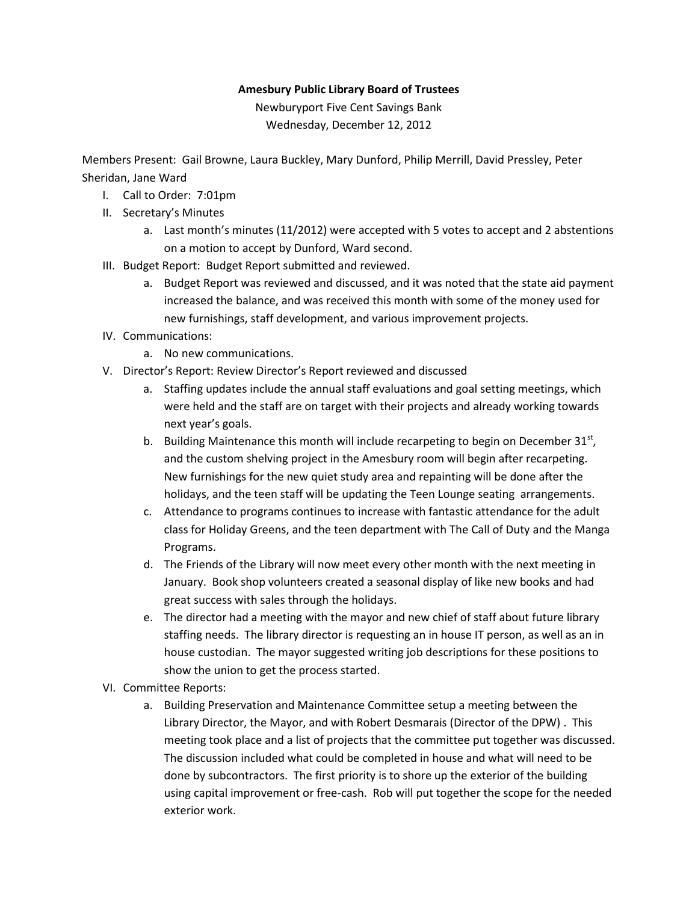## **Amesbury Public Library Board of Trustees**

Newburyport Five Cent Savings Bank Wednesday, December 12, 2012

Members Present: Gail Browne, Laura Buckley, Mary Dunford, Philip Merrill, David Pressley, Peter Sheridan, Jane Ward

- I. Call to Order: 7:01pm
- II. Secretary's Minutes
	- a. Last month's minutes (11/2012) were accepted with 5 votes to accept and 2 abstentions on a motion to accept by Dunford, Ward second.
- III. Budget Report: Budget Report submitted and reviewed.
	- a. Budget Report was reviewed and discussed, and it was noted that the state aid payment increased the balance, and was received this month with some of the money used for new furnishings, staff development, and various improvement projects.
- IV. Communications:
	- a. No new communications.
- V. Director's Report: Review Director's Report reviewed and discussed
	- a. Staffing updates include the annual staff evaluations and goal setting meetings, which were held and the staff are on target with their projects and already working towards next year's goals.
	- b. Building Maintenance this month will include recarpeting to begin on December  $31^{st}$ , and the custom shelving project in the Amesbury room will begin after recarpeting. New furnishings for the new quiet study area and repainting will be done after the holidays, and the teen staff will be updating the Teen Lounge seating arrangements.
	- c. Attendance to programs continues to increase with fantastic attendance for the adult class for Holiday Greens, and the teen department with The Call of Duty and the Manga Programs.
	- d. The Friends of the Library will now meet every other month with the next meeting in January. Book shop volunteers created a seasonal display of like new books and had great success with sales through the holidays.
	- e. The director had a meeting with the mayor and new chief of staff about future library staffing needs. The library director is requesting an in house IT person, as well as an in house custodian. The mayor suggested writing job descriptions for these positions to show the union to get the process started.
- VI. Committee Reports:
	- a. Building Preservation and Maintenance Committee setup a meeting between the Library Director, the Mayor, and with Robert Desmarais (Director of the DPW) . This meeting took place and a list of projects that the committee put together was discussed. The discussion included what could be completed in house and what will need to be done by subcontractors. The first priority is to shore up the exterior of the building using capital improvement or free-cash. Rob will put together the scope for the needed exterior work.